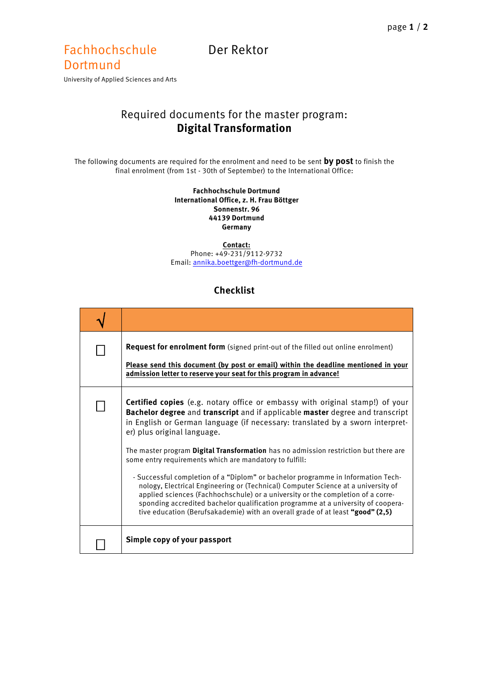## Fachhochschule Der Rektor

**Dortmund** University of Applied Sciences and Arts

## Required documents for the master program: **Digital Transformation**

The following documents are required for the enrolment and need to be sent **by post** to finish the final enrolment (from 1st - 30th of September) to the International Office:

## **Fachhochschule Dortmund International Office, z. H. Frau Böttger Sonnenstr. 96 44139 Dortmund Germany**

**Contact:** Phone: +49-231/9112-9732 Email[: annika.boettger@fh-dortmund.de](mailto:annika.boettger@fh-dortmund.de)

## **Checklist**

| <b>Request for enrolment form</b> (signed print-out of the filled out online enrolment)<br>Please send this document (by post or email) within the deadline mentioned in your<br>admission letter to reserve your seat for this program in advance!                                                                                                                                                                                                                                                                                                                                                                                                                                                                                                                                                                                                                        |
|----------------------------------------------------------------------------------------------------------------------------------------------------------------------------------------------------------------------------------------------------------------------------------------------------------------------------------------------------------------------------------------------------------------------------------------------------------------------------------------------------------------------------------------------------------------------------------------------------------------------------------------------------------------------------------------------------------------------------------------------------------------------------------------------------------------------------------------------------------------------------|
| <b>Certified copies</b> (e.g. notary office or embassy with original stamp!) of your<br>Bachelor degree and transcript and if applicable master degree and transcript<br>in English or German language (if necessary: translated by a sworn interpret-<br>er) plus original language.<br>The master program Digital Transformation has no admission restriction but there are<br>some entry requirements which are mandatory to fulfill:<br>- Successful completion of a "Diplom" or bachelor programme in Information Tech-<br>nology, Electrical Engineering or (Technical) Computer Science at a university of<br>applied sciences (Fachhochschule) or a university or the completion of a corre-<br>sponding accredited bachelor qualification programme at a university of coopera-<br>tive education (Berufsakademie) with an overall grade of at least "good" (2,5) |
| Simple copy of your passport                                                                                                                                                                                                                                                                                                                                                                                                                                                                                                                                                                                                                                                                                                                                                                                                                                               |